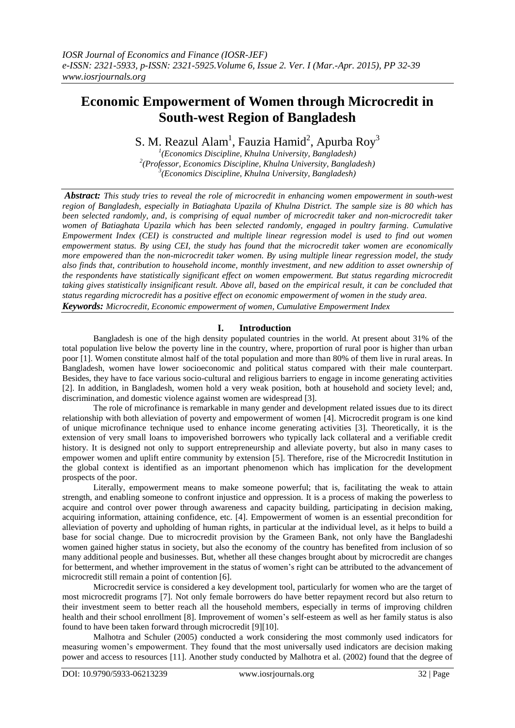# **Economic Empowerment of Women through Microcredit in South-west Region of Bangladesh**

S. M. Reazul Alam<sup>1</sup>, Fauzia Hamid<sup>2</sup>, Apurba Roy<sup>3</sup>

*1 (Economics Discipline, Khulna University, Bangladesh) 2 (Professor, Economics Discipline, Khulna University, Bangladesh) 3 (Economics Discipline, Khulna University, Bangladesh)*

*Abstract: This study tries to reveal the role of microcredit in enhancing women empowerment in south-west region of Bangladesh, especially in Batiaghata Upazila of Khulna District. The sample size is 80 which has been selected randomly, and, is comprising of equal number of microcredit taker and non-microcredit taker women of Batiaghata Upazila which has been selected randomly, engaged in poultry farming. Cumulative Empowerment Index (CEI) is constructed and multiple linear regression model is used to find out women empowerment status. By using CEI, the study has found that the microcredit taker women are economically more empowered than the non-microcredit taker women. By using multiple linear regression model, the study also finds that, contribution to household income, monthly investment, and new addition to asset ownership of the respondents have statistically significant effect on women empowerment. But status regarding microcredit taking gives statistically insignificant result. Above all, based on the empirical result, it can be concluded that status regarding microcredit has a positive effect on economic empowerment of women in the study area. Keywords: Microcredit, Economic empowerment of women, Cumulative Empowerment Index*

# **I. Introduction**

Bangladesh is one of the high density populated countries in the world. At present about 31% of the total population live below the poverty line in the country, where, proportion of rural poor is higher than urban poor [1]. Women constitute almost half of the total population and more than 80% of them live in rural areas. In Bangladesh, women have lower socioeconomic and political status compared with their male counterpart. Besides, they have to face various socio-cultural and religious barriers to engage in income generating activities [2]. In addition, in Bangladesh, women hold a very weak position, both at household and society level; and, discrimination, and domestic violence against women are widespread [3].

The role of microfinance is remarkable in many gender and development related issues due to its direct relationship with both alleviation of poverty and empowerment of women [4]. Microcredit program is one kind of unique microfinance technique used to enhance income generating activities [3]. Theoretically, it is the extension of very small loans to impoverished borrowers who typically lack collateral and a verifiable credit history. It is designed not only to support entrepreneurship and alleviate poverty, but also in many cases to empower women and uplift entire community by extension [5]. Therefore, rise of the Microcredit Institution in the global context is identified as an important phenomenon which has implication for the development prospects of the poor.

Literally, empowerment means to make someone powerful; that is, facilitating the weak to attain strength, and enabling someone to confront injustice and oppression. It is a process of making the powerless to acquire and control over power through awareness and capacity building, participating in decision making, acquiring information, attaining confidence, etc. [4]. Empowerment of women is an essential precondition for alleviation of poverty and upholding of human rights, in particular at the individual level, as it helps to build a base for social change. Due to microcredit provision by the Grameen Bank, not only have the Bangladeshi women gained higher status in society, but also the economy of the country has benefited from inclusion of so many additional people and businesses. But, whether all these changes brought about by microcredit are changes for betterment, and whether improvement in the status of women's right can be attributed to the advancement of microcredit still remain a point of contention [6].

Microcredit service is considered a key development tool, particularly for women who are the target of most microcredit programs [7]. Not only female borrowers do have better repayment record but also return to their investment seem to better reach all the household members, especially in terms of improving children health and their school enrollment [8]. Improvement of women's self-esteem as well as her family status is also found to have been taken forward through microcredit [9][10].

Malhotra and Schuler (2005) conducted a work considering the most commonly used indicators for measuring women's empowerment. They found that the most universally used indicators are decision making power and access to resources [11]. Another study conducted by Malhotra et al. (2002) found that the degree of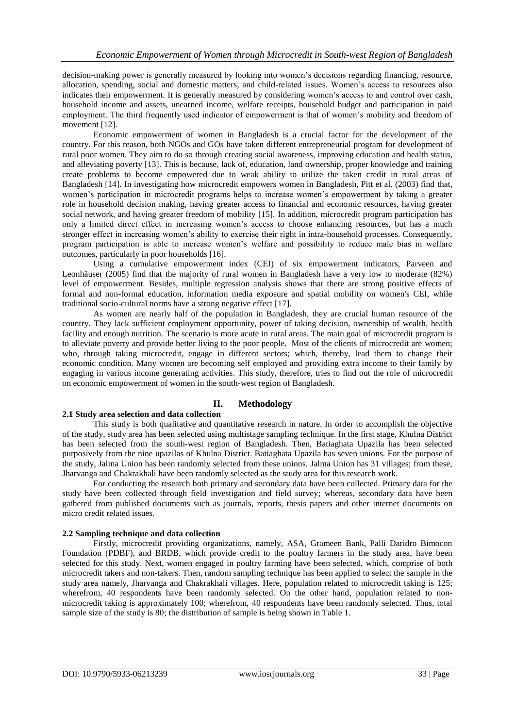decision-making power is generally measured by looking into women's decisions regarding financing, resource, allocation, spending, social and domestic matters, and child-related issues. Women's access to resources also indicates their empowerment. It is generally measured by considering women's access to and control over cash, household income and assets, unearned income, welfare receipts, household budget and participation in paid employment. The third frequently used indicator of empowerment is that of women's mobility and freedom of movement [12].

Economic empowerment of women in Bangladesh is a crucial factor for the development of the country. For this reason, both NGOs and GOs have taken different entrepreneurial program for development of rural poor women. They aim to do so through creating social awareness, improving education and health status, and alleviating poverty [13]. This is because, lack of, education, land ownership, proper knowledge and training create problems to become empowered due to weak ability to utilize the taken credit in rural areas of Bangladesh [14]. In investigating how microcredit empowers women in Bangladesh, Pitt et al. (2003) find that, women's participation in microcredit programs helps to increase women's empowerment by taking a greater role in household decision making, having greater access to financial and economic resources, having greater social network, and having greater freedom of mobility [15]. In addition, microcredit program participation has only a limited direct effect in increasing women's access to choose enhancing resources, but has a much stronger effect in increasing women's ability to exercise their right in intra-household processes. Consequently, program participation is able to increase women's welfare and possibility to reduce male bias in welfare outcomes, particularly in poor households [16].

Using a cumulative empowerment index (CEI) of six empowerment indicators, Parveen and Leonhäuser (2005) find that the majority of rural women in Bangladesh have a very low to moderate (82%) level of empowerment. Besides, multiple regression analysis shows that there are strong positive effects of formal and non-formal education, information media exposure and spatial mobility on women's CEI, while traditional socio-cultural norms have a strong negative effect [17].

As women are nearly half of the population in Bangladesh, they are crucial human resource of the country. They lack sufficient employment opportunity, power of taking decision, ownership of wealth, health facility and enough nutrition. The scenario is more acute in rural areas. The main goal of microcredit program is to alleviate poverty and provide better living to the poor people. Most of the clients of microcredit are women; who, through taking microcredit, engage in different sectors; which, thereby, lead them to change their economic condition. Many women are becoming self employed and providing extra income to their family by engaging in various income generating activities. This study, therefore, tries to find out the role of microcredit on economic empowerment of women in the south-west region of Bangladesh.

# **II. Methodology**

## **2.1 Study area selection and data collection**

This study is both qualitative and quantitative research in nature. In order to accomplish the objective of the study, study area has been selected using multistage sampling technique. In the first stage, Khulna District has been selected from the south-west region of Bangladesh. Then, Batiaghata Upazila has been selected purposively from the nine upazilas of Khulna District. Batiaghata Upazila has seven unions. For the purpose of the study, Jalma Union has been randomly selected from these unions. Jalma Union has 31 villages; from these, Jharvanga and Chakrakhali have been randomly selected as the study area for this research work.

For conducting the research both primary and secondary data have been collected. Primary data for the study have been collected through field investigation and field survey; whereas, secondary data have been gathered from published documents such as journals, reports, thesis papers and other internet documents on micro credit related issues.

#### **2.2 Sampling technique and data collection**

Firstly, microcredit providing organizations, namely, ASA, Grameen Bank, Palli Daridro Bimocon Foundation (PDBF), and BRDB, which provide credit to the poultry farmers in the study area, have been selected for this study. Next, women engaged in poultry farming have been selected, which, comprise of both microcredit takers and non-takers. Then, random sampling technique has been applied to select the sample in the study area namely, Jharvanga and Chakrakhali villages. Here, population related to microcredit taking is 125; wherefrom, 40 respondents have been randomly selected. On the other hand, population related to nonmicrocredit taking is approximately 100; wherefrom, 40 respondents have been randomly selected. Thus, total sample size of the study is 80; the distribution of sample is being shown in Table 1.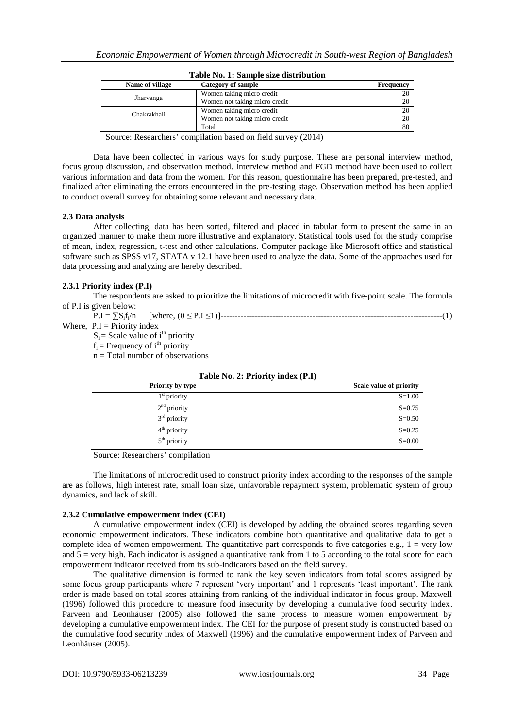|                 | rapic room, repairing size albertoarde |           |
|-----------------|----------------------------------------|-----------|
| Name of village | Category of sample                     | Frequency |
|                 | Women taking micro credit              |           |
| Jharvanga       | Women not taking micro credit          | 20        |
| Chakrakhali     | Women taking micro credit              |           |
|                 | Women not taking micro credit          | 20        |
|                 | Total                                  | 80        |

| Table No. 1: Sample size distribution |  |
|---------------------------------------|--|
|---------------------------------------|--|

Source: Researchers' compilation based on field survey (2014)

Data have been collected in various ways for study purpose. These are personal interview method, focus group discussion, and observation method. Interview method and FGD method have been used to collect various information and data from the women. For this reason, questionnaire has been prepared, pre-tested, and finalized after eliminating the errors encountered in the pre-testing stage. Observation method has been applied to conduct overall survey for obtaining some relevant and necessary data.

## **2.3 Data analysis**

After collecting, data has been sorted, filtered and placed in tabular form to present the same in an organized manner to make them more illustrative and explanatory. Statistical tools used for the study comprise of mean, index, regression, t-test and other calculations. Computer package like Microsoft office and statistical software such as SPSS v17, STATA v 12.1 have been used to analyze the data. Some of the approaches used for data processing and analyzing are hereby described.

## **2.3.1 Priority index (P.I)**

The respondents are asked to prioritize the limitations of microcredit with five-point scale. The formula of P.I is given below:

| $P.I = \sum S_i f_i/n$        | [where, $(0 \leq P.I \leq 1)$ ] |  |
|-------------------------------|---------------------------------|--|
| Where, $P.I =$ Priority index |                                 |  |

 $S_i$  = Scale value of i<sup>th</sup> priority

 $f_i$  = Frequency of i<sup>th</sup> priority

 $n = Total number of observations$ 

| $1$ and $1$ v. $2$ . I Holly much $(1 \cdot 1)$ |                         |
|-------------------------------------------------|-------------------------|
| Priority by type                                | Scale value of priority |
| $1st$ priority                                  | $S = 1.00$              |
| $2nd$ priority                                  | $S = 0.75$              |
| $3rd$ priority                                  | $S=0.50$                |
| $4th$ priority                                  | $S = 0.25$              |
| $5th$ priority                                  | $S = 0.00$              |
|                                                 |                         |

**Table No. 2: Priority index (P.I)**

Source: Researchers' compilation

The limitations of microcredit used to construct priority index according to the responses of the sample are as follows, high interest rate, small loan size, unfavorable repayment system, problematic system of group dynamics, and lack of skill.

#### **2.3.2 Cumulative empowerment index (CEI)**

A cumulative empowerment index (CEI) is developed by adding the obtained scores regarding seven economic empowerment indicators. These indicators combine both quantitative and qualitative data to get a complete idea of women empowerment. The quantitative part corresponds to five categories e.g.,  $1 = \text{very low}$ and  $5 =$  very high. Each indicator is assigned a quantitative rank from 1 to 5 according to the total score for each empowerment indicator received from its sub-indicators based on the field survey.

The qualitative dimension is formed to rank the key seven indicators from total scores assigned by some focus group participants where 7 represent 'very important' and 1 represents 'least important'. The rank order is made based on total scores attaining from ranking of the individual indicator in focus group. Maxwell (1996) followed this procedure to measure food insecurity by developing a cumulative food security index. Parveen and Leonhäuser (2005) also followed the same process to measure women empowerment by developing a cumulative empowerment index. The CEI for the purpose of present study is constructed based on the cumulative food security index of Maxwell (1996) and the cumulative empowerment index of Parveen and Leonhäuser (2005).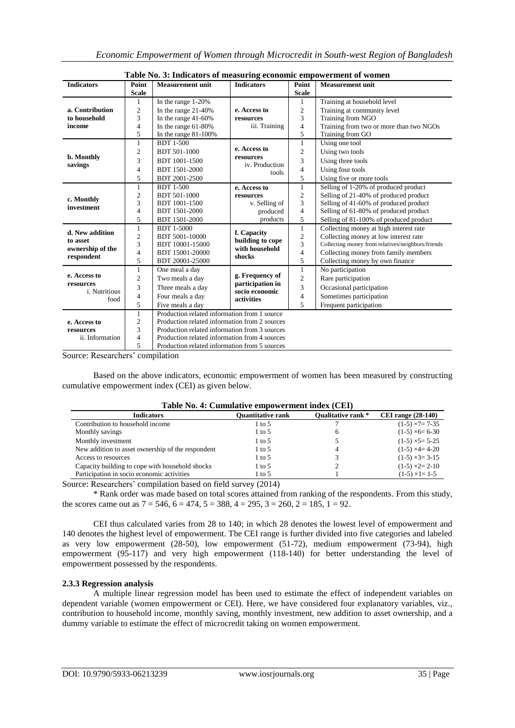|                                                                                                                                                                          |                                                                                                                 | Table No. 3: Indicators of measuring economic empowerment of women |                                     |                         |                                                   |
|--------------------------------------------------------------------------------------------------------------------------------------------------------------------------|-----------------------------------------------------------------------------------------------------------------|--------------------------------------------------------------------|-------------------------------------|-------------------------|---------------------------------------------------|
| <b>Indicators</b>                                                                                                                                                        | Point                                                                                                           | <b>Measurement unit</b>                                            | <b>Indicators</b>                   | Point                   | <b>Measurement unit</b>                           |
|                                                                                                                                                                          | <b>Scale</b>                                                                                                    |                                                                    |                                     | <b>Scale</b>            |                                                   |
|                                                                                                                                                                          | 1                                                                                                               | In the range 1-20%                                                 |                                     |                         | Training at household level                       |
| a. Contribution                                                                                                                                                          | 2                                                                                                               | In the range $21-40%$                                              | e. Access to                        | $\overline{\mathbf{c}}$ | Training at community level                       |
| to household                                                                                                                                                             | 3                                                                                                               | In the range $41-60%$                                              | resources                           | 3                       | Training from NGO                                 |
| income                                                                                                                                                                   | 4                                                                                                               | In the range $61-80%$                                              | iii. Training                       | $\overline{4}$          | Training from two or more than two NGOs           |
|                                                                                                                                                                          | 5                                                                                                               | In the range $81-100%$                                             |                                     | 5                       | Training from GO                                  |
|                                                                                                                                                                          | 1                                                                                                               | <b>BDT 1-500</b>                                                   |                                     | 1                       | Using one tool                                    |
|                                                                                                                                                                          | $\overline{c}$                                                                                                  | BDT 501-1000                                                       | e. Access to                        | $\overline{c}$          | Using two tools                                   |
|                                                                                                                                                                          | 3                                                                                                               | BDT 1001-1500                                                      | resources                           | 3                       | Using three tools                                 |
| b. Monthly<br>savings<br>c. Monthly<br>investment<br>d. New addition<br>to asset<br>ownership of the<br>respondent<br>e. Access to<br>resources<br>i. Nutritious<br>food | 4                                                                                                               | BDT 1501-2000                                                      | iv. Production<br>tools             | $\overline{4}$          | Using four tools                                  |
|                                                                                                                                                                          | 5                                                                                                               | BDT 2001-2500                                                      |                                     | 5                       | Using five or more tools                          |
|                                                                                                                                                                          | 1                                                                                                               | <b>BDT 1-500</b>                                                   | e. Access to                        | 1                       | Selling of 1-20% of produced product              |
|                                                                                                                                                                          | 2                                                                                                               | <b>BDT 501-1000</b>                                                | resources                           | $\overline{\mathbf{c}}$ | Selling of 21-40% of produced product             |
|                                                                                                                                                                          | 3                                                                                                               | BDT 1001-1500                                                      | v. Selling of                       | 3                       | Selling of 41-60% of produced product             |
|                                                                                                                                                                          |                                                                                                                 | BDT 1501-2000                                                      | produced                            | $\overline{4}$          | Selling of 61-80% of produced product             |
|                                                                                                                                                                          | 5                                                                                                               | BDT 1501-2000                                                      | products                            | 5                       | Selling of 81-100% of produced product            |
|                                                                                                                                                                          | 1                                                                                                               | <b>BDT 1-5000</b>                                                  | f. Capacity                         | 1                       | Collecting money at high interest rate            |
|                                                                                                                                                                          |                                                                                                                 | BDT 5001-10000                                                     | building to cope                    | $\overline{c}$          | Collecting money at low interest rate             |
|                                                                                                                                                                          |                                                                                                                 | BDT 10001-15000                                                    | with household                      | 3                       | Collecting money from relatives/neighbors/friends |
|                                                                                                                                                                          | 4                                                                                                               | BDT 15001-20000                                                    | shocks                              | $\overline{4}$          | Collecting money from family members              |
|                                                                                                                                                                          | $\overline{\mathcal{L}}$<br>$\overline{c}$<br>3<br>5<br>$\mathbf{1}$<br>$\overline{c}$<br>3<br>4<br>5<br>1<br>2 | BDT 20001-25000                                                    |                                     | 5                       | Collecting money by own finance                   |
|                                                                                                                                                                          |                                                                                                                 | One meal a day                                                     |                                     | $\mathbf{1}$            | No participation                                  |
|                                                                                                                                                                          |                                                                                                                 | Two meals a day                                                    | g. Frequency of<br>participation in | $\overline{2}$          | Rare participation                                |
|                                                                                                                                                                          |                                                                                                                 | Three meals a day                                                  | socio economic                      | 3                       | Occasional participation                          |
|                                                                                                                                                                          |                                                                                                                 | Four meals a day                                                   | activities                          | 4                       | Sometimes participation                           |
|                                                                                                                                                                          |                                                                                                                 | Five meals a day                                                   |                                     | 5                       | Frequent participation                            |
|                                                                                                                                                                          |                                                                                                                 | Production related information from 1 source                       |                                     |                         |                                                   |
| e. Access to                                                                                                                                                             |                                                                                                                 | Production related information from 2 sources                      |                                     |                         |                                                   |
| resources                                                                                                                                                                | 3                                                                                                               | Production related information from 3 sources                      |                                     |                         |                                                   |
| ii. Information                                                                                                                                                          | 4                                                                                                               | Production related information from 4 sources                      |                                     |                         |                                                   |
|                                                                                                                                                                          | 5                                                                                                               | Production related information from 5 sources                      |                                     |                         |                                                   |

Source: Researchers' compilation

Based on the above indicators, economic empowerment of women has been measured by constructing cumulative empowerment index (CEI) as given below.

|                                                   | Table Tw. 7. Camalattyc chipowel ment much (CET) |                           |                         |
|---------------------------------------------------|--------------------------------------------------|---------------------------|-------------------------|
| <b>Indicators</b>                                 | <b>Quantitative rank</b>                         | <b>Oualitative rank</b> * | CEI range $(28-140)$    |
| Contribution to household income                  | 1 to 5                                           |                           | $(1-5) \times 7 = 7-35$ |
| Monthly savings                                   | 1 to 5                                           |                           | $(1-5) \times 6 = 6-30$ |
| Monthly investment                                | 1 to 5                                           |                           | $(1-5) \times 5 = 5-25$ |
| New addition to asset ownership of the respondent | 1 to 5                                           |                           | $(1-5) \times 4 = 4-20$ |
| Access to resources                               | 1 to 5                                           |                           | $(1-5) \times 3 = 3-15$ |
| Capacity building to cope with household shocks   | 1 to 5                                           |                           | $(1-5) \times 2 = 2-10$ |
| Participation in socio economic activities        | 1 to 5                                           |                           | $(1-5) \times 1 = 1-5$  |

## **Table No. 4: Cumulative empowerment index (CEI)**

Source: Researchers' compilation based on field survey (2014)

\* Rank order was made based on total scores attained from ranking of the respondents. From this study, the scores came out as  $7 = 546$ ,  $6 = 474$ ,  $5 = 388$ ,  $4 = 295$ ,  $3 = 260$ ,  $2 = 185$ ,  $1 = 92$ .

CEI thus calculated varies from 28 to 140; in which 28 denotes the lowest level of empowerment and 140 denotes the highest level of empowerment. The CEI range is further divided into five categories and labeled as very low empowerment (28-50), low empowerment (51-72), medium empowerment (73-94), high empowerment (95-117) and very high empowerment (118-140) for better understanding the level of empowerment possessed by the respondents.

## **2.3.3 Regression analysis**

A multiple linear regression model has been used to estimate the effect of independent variables on dependent variable (women empowerment or CEI). Here, we have considered four explanatory variables, viz., contribution to household income, monthly saving, monthly investment, new addition to asset ownership, and a dummy variable to estimate the effect of microcredit taking on women empowerment.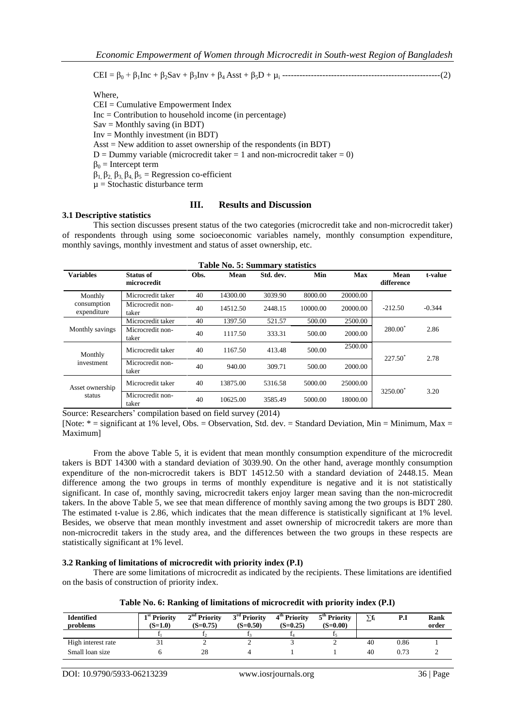CEI = β<sup>0</sup> + β1Inc + β2Sav + β3Inv + β<sup>4</sup> Asst + β5D + µ<sup>i</sup> -------------------------------------------------------(2)

Where,

CEI = Cumulative Empowerment Index Inc = Contribution to household income (in percentage)  $Sav =$  Monthly saving (in BDT) Inv = Monthly investment (in BDT) Asst = New addition to asset ownership of the respondents (in BDT)  $D =$  Dummy variable (microcredit taker = 1 and non-microcredit taker = 0)  $β<sub>0</sub>$  = Intercept term  $β_1, β_2, β_3, β_4, β_5 = Regression co-efficient$  $\mu$  = Stochastic disturbance term

## **III. Results and Discussion**

#### **3.1 Descriptive statistics**

This section discusses present status of the two categories (microcredit take and non-microcredit taker) of respondents through using some socioeconomic variables namely, monthly consumption expenditure, monthly savings, monthly investment and status of asset ownership, etc.

|                            |                           |      | <b>Table No. 5: Summary statistics</b> |           |          |          |                      |          |
|----------------------------|---------------------------|------|----------------------------------------|-----------|----------|----------|----------------------|----------|
| <b>Variables</b>           | Status of<br>microcredit  | Obs. | Mean                                   | Std. dev. | Min      | Max      | Mean<br>difference   | t-value  |
| Monthly                    | Microcredit taker         | 40   | 14300.00                               | 3039.90   | 8000.00  | 20000.00 |                      |          |
| consumption<br>expenditure | Microcredit non-<br>taker | 40   | 14512.50                               | 2448.15   | 10000.00 | 20000.00 | $-212.50$            | $-0.344$ |
|                            | Microcredit taker         | 40   | 1397.50                                | 521.57    | 500.00   | 2500.00  |                      |          |
| Monthly savings            | Microcredit non-<br>taker | 40   | 1117.50                                | 333.31    | 500.00   | 2000.00  | $280.00^*$           | 2.86     |
| Monthly                    | Microcredit taker         | 40   | 1167.50                                | 413.48    | 500.00   | 2500.00  | $227.50^*$           |          |
| investment                 | Microcredit non-<br>taker | 40   | 940.00                                 | 309.71    | 500.00   | 2000.00  |                      | 2.78     |
| Asset ownership            | Microcredit taker         | 40   | 13875.00                               | 5316.58   | 5000.00  | 25000.00 | 3250.00 <sup>*</sup> | 3.20     |
| status                     | Microcredit non-<br>taker | 40   | 10625.00                               | 3585.49   | 5000.00  | 18000.00 |                      |          |

Source: Researchers' compilation based on field survey (2014)

[Note:  $* =$  significant at 1% level, Obs. = Observation, Std. dev. = Standard Deviation, Min = Minimum, Max = Maximum]

From the above Table 5, it is evident that mean monthly consumption expenditure of the microcredit takers is BDT 14300 with a standard deviation of 3039.90. On the other hand, average monthly consumption expenditure of the non-microcredit takers is BDT 14512.50 with a standard deviation of 2448.15. Mean difference among the two groups in terms of monthly expenditure is negative and it is not statistically significant. In case of, monthly saving, microcredit takers enjoy larger mean saving than the non-microcredit takers. In the above Table 5, we see that mean difference of monthly saving among the two groups is BDT 280. The estimated t-value is 2.86, which indicates that the mean difference is statistically significant at 1% level. Besides, we observe that mean monthly investment and asset ownership of microcredit takers are more than non-microcredit takers in the study area, and the differences between the two groups in these respects are statistically significant at 1% level.

#### **3.2 Ranking of limitations of microcredit with priority index (P.I)**

There are some limitations of microcredit as indicated by the recipients. These limitations are identified on the basis of construction of priority index.

| <b>Identified</b>  | 1 <sup>st</sup> Priority | $2nd$ Priority | 3 <sup>rd</sup> Priority | 4 <sup>th</sup> Priority | 5 <sup>th</sup> Priority |    | P.I  | Rank  |
|--------------------|--------------------------|----------------|--------------------------|--------------------------|--------------------------|----|------|-------|
| problems           | $(S=1.0)$                | $(S=0.75)$     | $(S=0.50)$               | $(S=0.25)$               | $(S=0.00)$               |    |      | order |
|                    |                          |                |                          |                          |                          |    |      |       |
| High interest rate |                          |                |                          |                          |                          | 40 | 0.86 |       |
| Small loan size    |                          | 28             |                          |                          |                          | 40 | 0.73 |       |

|  | Table No. 6: Ranking of limitations of microcredit with priority index (P.I) |  |  |  |
|--|------------------------------------------------------------------------------|--|--|--|
|  |                                                                              |  |  |  |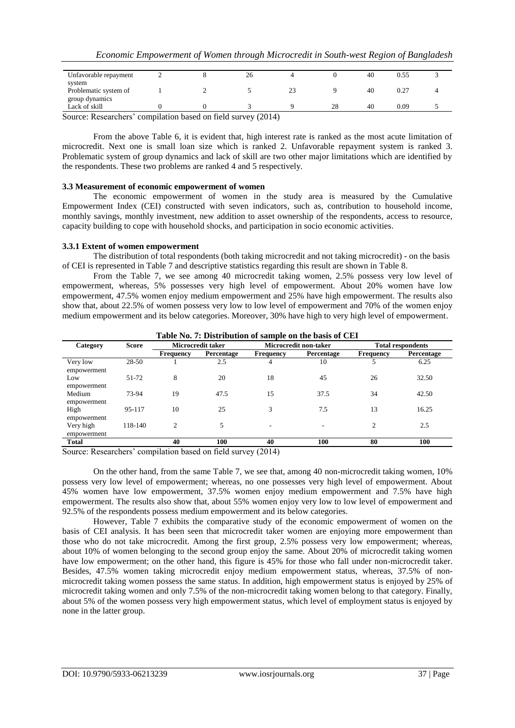| Unfavorable repayment                                                                                   | ∼ | 26 |    |    | 40 | J.55 |  |
|---------------------------------------------------------------------------------------------------------|---|----|----|----|----|------|--|
| system                                                                                                  |   |    |    |    |    |      |  |
| Problematic system of                                                                                   |   |    | 23 |    | 40 |      |  |
| group dynamics                                                                                          |   |    |    |    |    |      |  |
| Lack of skill                                                                                           |   |    |    | 28 | 40 | 0.09 |  |
| $\Omega$ arrays December $\Omega$ are $\Omega$ at the level on $\mathcal{L}$ of $\Lambda$ arrays (2014) |   |    |    |    |    |      |  |

Source: Researchers' compilation based on field survey (2014)

From the above Table 6, it is evident that, high interest rate is ranked as the most acute limitation of microcredit. Next one is small loan size which is ranked 2. Unfavorable repayment system is ranked 3. Problematic system of group dynamics and lack of skill are two other major limitations which are identified by the respondents. These two problems are ranked 4 and 5 respectively.

#### **3.3 Measurement of economic empowerment of women**

The economic empowerment of women in the study area is measured by the Cumulative Empowerment Index (CEI) constructed with seven indicators, such as, contribution to household income, monthly savings, monthly investment, new addition to asset ownership of the respondents, access to resource, capacity building to cope with household shocks, and participation in socio economic activities.

#### **3.3.1 Extent of women empowerment**

The distribution of total respondents (both taking microcredit and not taking microcredit) - on the basis of CEI is represented in Table 7 and descriptive statistics regarding this result are shown in Table 8.

From the Table 7, we see among 40 microcredit taking women, 2.5% possess very low level of empowerment, whereas, 5% possesses very high level of empowerment. About 20% women have low empowerment, 47.5% women enjoy medium empowerment and 25% have high empowerment. The results also show that, about 22.5% of women possess very low to low level of empowerment and 70% of the women enjoy medium empowerment and its below categories. Moreover, 30% have high to very high level of empowerment.

| Category                 | <b>Score</b> |                  | <b>Microcredit taker</b> |                  | Microcredit non-taker | <b>Total respondents</b> |            |  |
|--------------------------|--------------|------------------|--------------------------|------------------|-----------------------|--------------------------|------------|--|
|                          |              | <b>Frequency</b> | Percentage               | <b>Frequency</b> | Percentage            | <b>Frequency</b>         | Percentage |  |
| Very low<br>empowerment  | 28-50        |                  | 2.5                      | 4                | 10                    | 5                        | 6.25       |  |
| Low<br>empowerment       | 51-72        | 8                | 20                       | 18               | 45                    | 26                       | 32.50      |  |
| Medium<br>empowerment    | 73-94        | 19               | 47.5                     | 15               | 37.5                  | 34                       | 42.50      |  |
| High<br>empowerment      | 95-117       | 10               | 25                       | 3                | 7.5                   | 13                       | 16.25      |  |
| Very high<br>empowerment | 118-140      | $\mathfrak{D}$   | 5                        |                  |                       | 2                        | 2.5        |  |
| <b>Total</b>             |              | 40               | 100                      | 40               | 100                   | 80                       | 100        |  |

**Table No. 7: Distribution of sample on the basis of CEI**

Source: Researchers' compilation based on field survey (2014)

On the other hand, from the same Table 7, we see that, among 40 non-microcredit taking women, 10% possess very low level of empowerment; whereas, no one possesses very high level of empowerment. About 45% women have low empowerment, 37.5% women enjoy medium empowerment and 7.5% have high empowerment. The results also show that, about 55% women enjoy very low to low level of empowerment and 92.5% of the respondents possess medium empowerment and its below categories.

However, Table 7 exhibits the comparative study of the economic empowerment of women on the basis of CEI analysis. It has been seen that microcredit taker women are enjoying more empowerment than those who do not take microcredit. Among the first group, 2.5% possess very low empowerment; whereas, about 10% of women belonging to the second group enjoy the same. About 20% of microcredit taking women have low empowerment; on the other hand, this figure is 45% for those who fall under non-microcredit taker. Besides, 47.5% women taking microcredit enjoy medium empowerment status, whereas, 37.5% of nonmicrocredit taking women possess the same status. In addition, high empowerment status is enjoyed by 25% of microcredit taking women and only 7.5% of the non-microcredit taking women belong to that category. Finally, about 5% of the women possess very high empowerment status, which level of employment status is enjoyed by none in the latter group.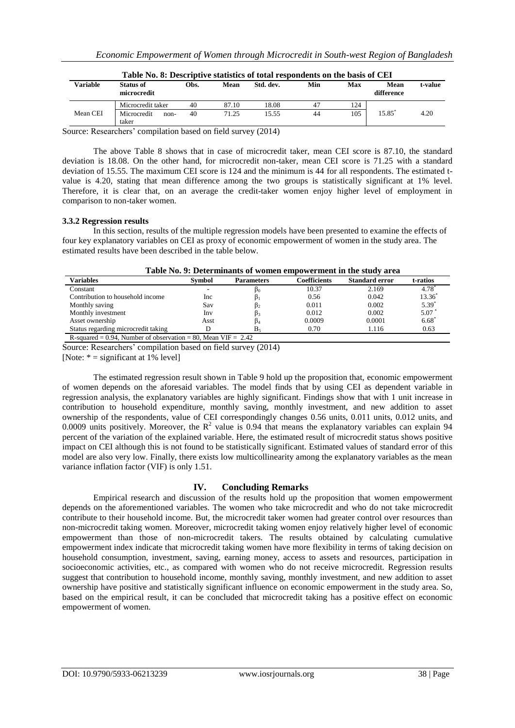|                 | Table No. 8: Descriptive statistics of total respondents on the basis of CEI |      |       |           |     |     |                    |         |
|-----------------|------------------------------------------------------------------------------|------|-------|-----------|-----|-----|--------------------|---------|
| <b>Variable</b> | Status of<br>microcredit                                                     | Obs. | Mean  | Std. dev. | Min | Max | Mean<br>difference | t-value |
|                 | Microcredit taker                                                            | 40   | 87.10 | 18.08     | 47  | 124 |                    |         |
| Mean CEI        | Microcredit<br>$non-$<br>taker                                               | 40   | 71.25 | 15.55     | 44  | 105 | 15.85              | 4.20    |

Source: Researchers' compilation based on field survey (2014)

The above Table 8 shows that in case of microcredit taker, mean CEI score is 87.10, the standard deviation is 18.08. On the other hand, for microcredit non-taker, mean CEI score is 71.25 with a standard deviation of 15.55. The maximum CEI score is 124 and the minimum is 44 for all respondents. The estimated tvalue is 4.20, stating that mean difference among the two groups is statistically significant at 1% level. Therefore, it is clear that, on an average the credit-taker women enjoy higher level of employment in comparison to non-taker women.

#### **3.3.2 Regression results**

In this section, results of the multiple regression models have been presented to examine the effects of four key explanatory variables on CEI as proxy of economic empowerment of women in the study area. The estimated results have been described in the table below.

| Table No. 9: Determinants of women empowerment in the study area |               |                   |              |                       |           |
|------------------------------------------------------------------|---------------|-------------------|--------------|-----------------------|-----------|
| Variables                                                        | <b>Symbol</b> | <b>Parameters</b> | Coefficients | <b>Standard error</b> | t-ratios  |
| Constant                                                         |               | $p_0$             | 10.37        | 2.169                 | $4.78^*$  |
| Contribution to household income                                 | Inc.          |                   | 0.56         | 0.042                 | $13.36^*$ |
| Monthly saving                                                   | Sav           | D2                | 0.011        | 0.002                 | $5.39*$   |
| Monthly investment                                               | Inv           | Þ٦                | 0.012        | 0.002                 | $5.07^*$  |
| Asset ownership                                                  | Asst          |                   | 0.0009       | 0.0001                | $6.68^*$  |
| Status regarding microcredit taking                              |               | B٠                | 0.70         | 1.116                 | 0.63      |
| R-squared = 0.94. Number of observation = 80. Mean VIF = $2.42$  |               |                   |              |                       |           |

Source: Researchers' compilation based on field survey (2014)

[Note:  $* =$  significant at 1% level]

The estimated regression result shown in Table 9 hold up the proposition that, economic empowerment of women depends on the aforesaid variables. The model finds that by using CEI as dependent variable in regression analysis, the explanatory variables are highly significant. Findings show that with 1 unit increase in contribution to household expenditure, monthly saving, monthly investment, and new addition to asset ownership of the respondents, value of CEI correspondingly changes 0.56 units, 0.011 units, 0.012 units, and 0.0009 units positively. Moreover, the  $R^2$  value is 0.94 that means the explanatory variables can explain 94 percent of the variation of the explained variable. Here, the estimated result of microcredit status shows positive impact on CEI although this is not found to be statistically significant. Estimated values of standard error of this model are also very low. Finally, there exists low multicollinearity among the explanatory variables as the mean variance inflation factor (VIF) is only 1.51.

## **IV. Concluding Remarks**

Empirical research and discussion of the results hold up the proposition that women empowerment depends on the aforementioned variables. The women who take microcredit and who do not take microcredit contribute to their household income. But, the microcredit taker women had greater control over resources than non-microcredit taking women. Moreover, microcredit taking women enjoy relatively higher level of economic empowerment than those of non-microcredit takers. The results obtained by calculating cumulative empowerment index indicate that microcredit taking women have more flexibility in terms of taking decision on household consumption, investment, saving, earning money, access to assets and resources, participation in socioeconomic activities, etc., as compared with women who do not receive microcredit. Regression results suggest that contribution to household income, monthly saving, monthly investment, and new addition to asset ownership have positive and statistically significant influence on economic empowerment in the study area. So, based on the empirical result, it can be concluded that microcredit taking has a positive effect on economic empowerment of women.